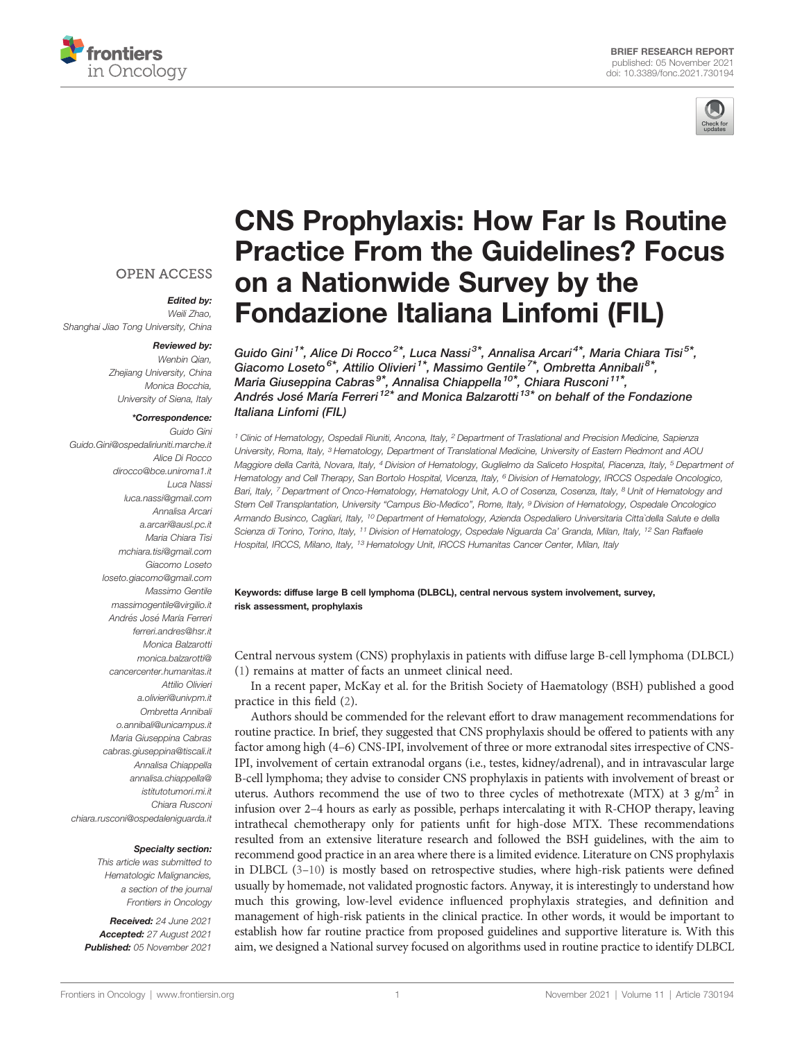



## **OPEN ACCESS**

#### Edited by: Weili Zhao,

Shanghai Jiao Tong University, China

#### Reviewed by:

Wenbin Qian, Zhejiang University, China Monica Bocchia, University of Siena, Italy

### \*Correspondence:

Guido Gini [Guido.Gini@ospedaliriuniti.marche.it](mailto:Guido.Gini@ospedaliriuniti.marche.it) Alice Di Rocco [dirocco@bce.uniroma1.it](mailto:dirocco@bce.uniroma1.it) Luca Nassi [luca.nassi@gmail.com](mailto:luca.nassi@gmail.com) Annalisa Arcari [a.arcari@ausl.pc.it](mailto:a.arcari@ausl.pc.it) Maria Chiara Tisi [mchiara.tisi@gmail.com](mailto:mchiara.tisi@gmail.com) Giacomo Loseto [loseto.giacomo@gmail.com](mailto:loseto.giacomo@gmail.com) Massimo Gentile [massimogentile@virgilio.it](mailto:massimogentile@virgilio.it) Andrés José María Ferreri [ferreri.andres@hsr.it](mailto:ferreri.andres@hsr.it) Monica Balzarotti [monica.balzarotti@](mailto:monica.balzarotti@cancercenter.humanitas.it) [cancercenter.humanitas.it](mailto:monica.balzarotti@cancercenter.humanitas.it) Attilio Olivieri [a.olivieri@univpm.it](mailto:a.olivieri@univpm.it) Ombretta Annibali [o.annibali@unicampus.it](mailto:o.annibali@unicampus.it) Maria Giuseppina Cabras [cabras.giuseppina@tiscali.it](mailto:cabras.giuseppina@tiscali.it) Annalisa Chiappella [annalisa.chiappella@](mailto:annalisa.chiappella@istitutotumori.mi.it) [istitutotumori.mi.it](mailto:annalisa.chiappella@istitutotumori.mi.it) Chiara Rusconi [chiara.rusconi@ospedaleniguarda.it](mailto:chiara.rusconi@ospedaleniguarda.it)

#### Specialty section:

This article was submitted to Hematologic Malignancies, a section of the journal Frontiers in Oncology

Received: 24 June 2021 Accepted: 27 August 2021 Published: 05 November 2021

# [CNS Prophylaxis: How Far Is Routine](https://www.frontiersin.org/articles/10.3389/fonc.2021.730194/full) [Practice From the Guidelines? Focus](https://www.frontiersin.org/articles/10.3389/fonc.2021.730194/full) [on a Nationwide Survey by the](https://www.frontiersin.org/articles/10.3389/fonc.2021.730194/full) [Fondazione Italiana Linfomi \(FIL\)](https://www.frontiersin.org/articles/10.3389/fonc.2021.730194/full)

Guido Gini<sup>1\*</sup>, Alice Di Rocco<sup>2\*</sup>, Luca Nassi<sup>3\*</sup>, Annalisa Arcari<sup>4\*</sup>, Maria Chiara Tisi<sup>5\*</sup>, Giacomo Loseto<sup>6\*</sup>, Attilio Olivieri<sup>1\*</sup>, Massimo Gentile<sup>7\*</sup>, Ombretta Annibali<sup>8\*</sup>, Maria Giuseppina Cabras<sup>9\*</sup>, Annalisa Chiappella<sup>10\*</sup>, Chiara Rusconi<sup>11\*</sup>, Andrés José María Ferreri <sup>12\*</sup> and Monica Balzarotti <sup>13\*</sup> on behalf of the Fondazione Italiana Linfomi (FIL)

<sup>1</sup> Clinic of Hematology, Ospedali Riuniti, Ancona, Italy, <sup>2</sup> Department of Traslational and Precision Medicine, Sapienza University, Roma, Italy, <sup>3</sup> Hematology, Department of Translational Medicine, University of Eastern Piedmont and AOU Maggiore della Carità, Novara, Italy, <sup>4</sup> Division of Hematology, Guglielmo da Saliceto Hospital, Piacenza, Italy, <sup>5</sup> Department of Hematology and Cell Therapy, San Bortolo Hospital, Vicenza, Italy, <sup>6</sup> Division of Hematology, IRCCS Ospedale Oncologico, Bari, Italy, 7 Department of Onco-Hematology, Hematology Unit, A.O of Cosenza, Cosenza, Italy, <sup>8</sup> Unit of Hematology and Stem Cell Transplantation, University "Campus Bio-Medico", Rome, Italy, <sup>9</sup> Division of Hematology, Ospedale Oncologico Armando Businco, Cagliari, Italy, <sup>10</sup> Department of Hematology, Azienda Ospedaliero Universitaria Citta`della Salute e della Scienza di Torino, Torino, Italy, <sup>11</sup> Division of Hematology, Ospedale Niguarda Ca' Granda, Milan, Italy, <sup>12</sup> San Raffaele Hospital, IRCCS, Milano, Italy, <sup>13</sup> Hematology Unit, IRCCS Humanitas Cancer Center, Milan, Italy

Keywords: diffuse large B cell lymphoma (DLBCL), central nervous system involvement, survey, risk assessment, prophylaxis

Central nervous system (CNS) prophylaxis in patients with diffuse large B-cell lymphoma (DLBCL) [\(1\)](#page-2-0) remains at matter of facts an unmeet clinical need.

In a recent paper, McKay et al. for the British Society of Haematology (BSH) published a good practice in this field ([2\)](#page-2-0).

Authors should be commended for the relevant effort to draw management recommendations for routine practice. In brief, they suggested that CNS prophylaxis should be offered to patients with any factor among high (4–6) CNS-IPI, involvement of three or more extranodal sites irrespective of CNS-IPI, involvement of certain extranodal organs (i.e., testes, kidney/adrenal), and in intravascular large B-cell lymphoma; they advise to consider CNS prophylaxis in patients with involvement of breast or uterus. Authors recommend the use of two to three cycles of methotrexate (MTX) at 3  $g/m^2$  in infusion over 2–4 hours as early as possible, perhaps intercalating it with R-CHOP therapy, leaving intrathecal chemotherapy only for patients unfit for high-dose MTX. These recommendations resulted from an extensive literature research and followed the BSH guidelines, with the aim to recommend good practice in an area where there is a limited evidence. Literature on CNS prophylaxis in DLBCL [\(3](#page-2-0)–[10](#page-2-0)) is mostly based on retrospective studies, where high-risk patients were defined usually by homemade, not validated prognostic factors. Anyway, it is interestingly to understand how much this growing, low-level evidence influenced prophylaxis strategies, and definition and management of high-risk patients in the clinical practice. In other words, it would be important to establish how far routine practice from proposed guidelines and supportive literature is. With this aim, we designed a National survey focused on algorithms used in routine practice to identify DLBCL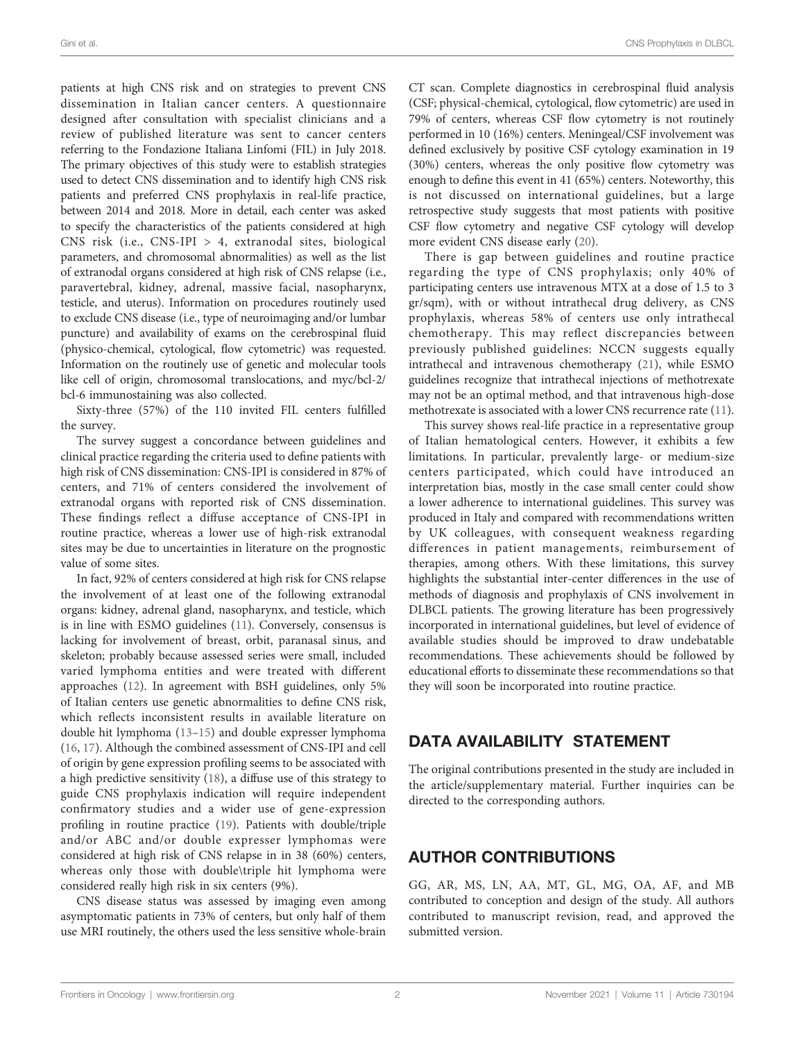patients at high CNS risk and on strategies to prevent CNS dissemination in Italian cancer centers. A questionnaire designed after consultation with specialist clinicians and a review of published literature was sent to cancer centers referring to the Fondazione Italiana Linfomi (FIL) in July 2018. The primary objectives of this study were to establish strategies used to detect CNS dissemination and to identify high CNS risk patients and preferred CNS prophylaxis in real-life practice, between 2014 and 2018. More in detail, each center was asked to specify the characteristics of the patients considered at high CNS risk (i.e., CNS-IPI > 4, extranodal sites, biological parameters, and chromosomal abnormalities) as well as the list of extranodal organs considered at high risk of CNS relapse (i.e., paravertebral, kidney, adrenal, massive facial, nasopharynx, testicle, and uterus). Information on procedures routinely used to exclude CNS disease (i.e., type of neuroimaging and/or lumbar puncture) and availability of exams on the cerebrospinal fluid (physico-chemical, cytological, flow cytometric) was requested. Information on the routinely use of genetic and molecular tools like cell of origin, chromosomal translocations, and myc/bcl-2/ bcl-6 immunostaining was also collected.

Sixty-three (57%) of the 110 invited FIL centers fulfilled the survey.

The survey suggest a concordance between guidelines and clinical practice regarding the criteria used to define patients with high risk of CNS dissemination: CNS-IPI is considered in 87% of centers, and 71% of centers considered the involvement of extranodal organs with reported risk of CNS dissemination. These findings reflect a diffuse acceptance of CNS-IPI in routine practice, whereas a lower use of high-risk extranodal sites may be due to uncertainties in literature on the prognostic value of some sites.

In fact, 92% of centers considered at high risk for CNS relapse the involvement of at least one of the following extranodal organs: kidney, adrenal gland, nasopharynx, and testicle, which is in line with ESMO guidelines [\(11](#page-2-0)). Conversely, consensus is lacking for involvement of breast, orbit, paranasal sinus, and skeleton; probably because assessed series were small, included varied lymphoma entities and were treated with different approaches ([12\)](#page-2-0). In agreement with BSH guidelines, only 5% of Italian centers use genetic abnormalities to define CNS risk, which reflects inconsistent results in available literature on double hit lymphoma ([13](#page-2-0)–[15\)](#page-2-0) and double expresser lymphoma ([16,](#page-2-0) [17](#page-2-0)). Although the combined assessment of CNS-IPI and cell of origin by gene expression profiling seems to be associated with a high predictive sensitivity ([18\)](#page-2-0), a diffuse use of this strategy to guide CNS prophylaxis indication will require independent confirmatory studies and a wider use of gene-expression profiling in routine practice ([19\)](#page-2-0). Patients with double/triple and/or ABC and/or double expresser lymphomas were considered at high risk of CNS relapse in in 38 (60%) centers, whereas only those with double\triple hit lymphoma were considered really high risk in six centers (9%).

CNS disease status was assessed by imaging even among asymptomatic patients in 73% of centers, but only half of them use MRI routinely, the others used the less sensitive whole-brain

CT scan. Complete diagnostics in cerebrospinal fluid analysis (CSF; physical-chemical, cytological, flow cytometric) are used in 79% of centers, whereas CSF flow cytometry is not routinely performed in 10 (16%) centers. Meningeal/CSF involvement was defined exclusively by positive CSF cytology examination in 19 (30%) centers, whereas the only positive flow cytometry was enough to define this event in 41 (65%) centers. Noteworthy, this is not discussed on international guidelines, but a large retrospective study suggests that most patients with positive CSF flow cytometry and negative CSF cytology will develop more evident CNS disease early ([20\)](#page-2-0).

There is gap between guidelines and routine practice regarding the type of CNS prophylaxis; only 40% of participating centers use intravenous MTX at a dose of 1.5 to 3 gr/sqm), with or without intrathecal drug delivery, as CNS prophylaxis, whereas 58% of centers use only intrathecal chemotherapy. This may reflect discrepancies between previously published guidelines: NCCN suggests equally intrathecal and intravenous chemotherapy [\(21](#page-2-0)), while ESMO guidelines recognize that intrathecal injections of methotrexate may not be an optimal method, and that intravenous high-dose methotrexate is associated with a lower CNS recurrence rate [\(11\)](#page-2-0).

This survey shows real-life practice in a representative group of Italian hematological centers. However, it exhibits a few limitations. In particular, prevalently large- or medium-size centers participated, which could have introduced an interpretation bias, mostly in the case small center could show a lower adherence to international guidelines. This survey was produced in Italy and compared with recommendations written by UK colleagues, with consequent weakness regarding differences in patient managements, reimbursement of therapies, among others. With these limitations, this survey highlights the substantial inter-center differences in the use of methods of diagnosis and prophylaxis of CNS involvement in DLBCL patients. The growing literature has been progressively incorporated in international guidelines, but level of evidence of available studies should be improved to draw undebatable recommendations. These achievements should be followed by educational efforts to disseminate these recommendations so that they will soon be incorporated into routine practice.

# DATA AVAILABILITY STATEMENT

The original contributions presented in the study are included in the article/supplementary material. Further inquiries can be directed to the corresponding authors.

# AUTHOR CONTRIBUTIONS

GG, AR, MS, LN, AA, MT, GL, MG, OA, AF, and MB contributed to conception and design of the study. All authors contributed to manuscript revision, read, and approved the submitted version.